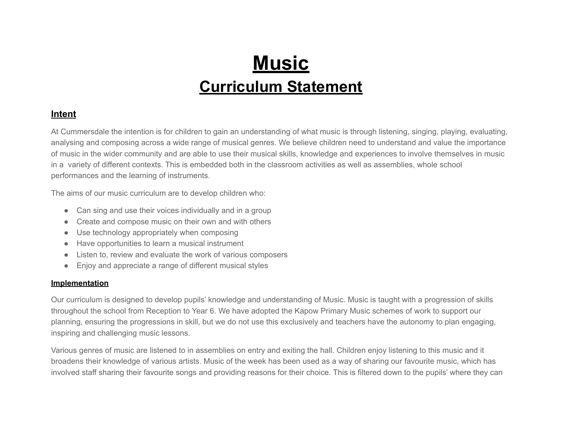# **Music Curriculum Statement**

### **Intent**

At Cummersdale the intention is for children to gain an understanding of what music is through listening, singing, playing, evaluating, analysing and composing across a wide range of musical genres. We believe children need to understand and value the importance of music in the wider community and are able to use their musical skills, knowledge and experiences to involve themselves in music in a variety of different contexts. This is embedded both in the classroom activities as well as assemblies, whole school performances and the learning of instruments.

The aims of our music curriculum are to develop children who:

- Can sing and use their voices individually and in a group
- Create and compose music on their own and with others
- Use technology appropriately when composing
- Have opportunities to learn a musical instrument
- Listen to, review and evaluate the work of various composers
- Enjoy and appreciate a range of different musical styles

## **Implementation**

Our curriculum is designed to develop pupils' knowledge and understanding of Music. Music is taught with a progression of skills throughout the school from Reception to Year 6. We have adopted the Kapow Primary Music schemes of work to support our planning, ensuring the progressions in skill, but we do not use this exclusively and teachers have the autonomy to plan engaging, inspiring and challenging music lessons.

Various genres of music are listened to in assemblies on entry and exiting the hall. Children enjoy listening to this music and it broadens their knowledge of various artists. Music of the week has been used as a way of sharing our favourite music, which has involved staff sharing their favourite songs and providing reasons for their choice. This is filtered down to the pupils' where they can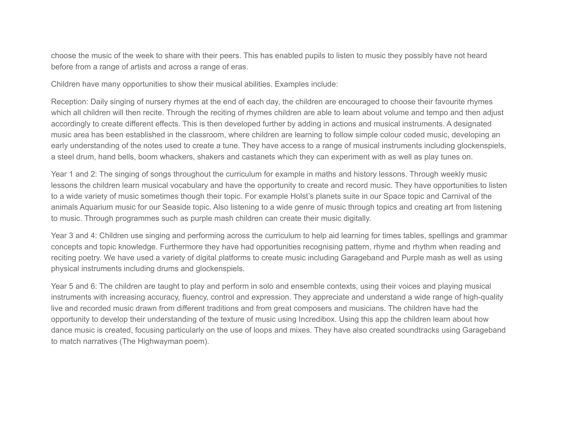choose the music of the week to share with their peers. This has enabled pupils to listen to music they possibly have not heard before from a range of artists and across a range of eras.

Children have many opportunities to show their musical abilities. Examples include:

Reception: Daily singing of nursery rhymes at the end of each day, the children are encouraged to choose their favourite rhymes which all children will then recite. Through the reciting of rhymes children are able to learn about volume and tempo and then adjust accordingly to create different effects. This is then developed further by adding in actions and musical instruments. A designated music area has been established in the classroom, where children are learning to follow simple colour coded music, developing an early understanding of the notes used to create a tune. They have access to a range of musical instruments including glockenspiels, a steel drum, hand bells, boom whackers, shakers and castanets which they can experiment with as well as play tunes on.

Year 1 and 2: The singing of songs throughout the curriculum for example in maths and history lessons. Through weekly music lessons the children learn musical vocabulary and have the opportunity to create and record music. They have opportunities to listen to a wide variety of music sometimes though their topic. For example Holst's planets suite in our Space topic and Carnival of the animals Aquarium music for our Seaside topic. Also listening to a wide genre of music through topics and creating art from listening to music. Through programmes such as purple mash children can create their music digitally.

Year 3 and 4: Children use singing and performing across the curriculum to help aid learning for times tables, spellings and grammar concepts and topic knowledge. Furthermore they have had opportunities recognising pattern, rhyme and rhythm when reading and reciting poetry. We have used a variety of digital platforms to create music including Garageband and Purple mash as well as using physical instruments including drums and glockenspiels.

Year 5 and 6: The children are taught to play and perform in solo and ensemble contexts, using their voices and playing musical instruments with increasing accuracy, fluency, control and expression. They appreciate and understand a wide range of high-quality live and recorded music drawn from different traditions and from great composers and musicians. The children have had the opportunity to develop their understanding of the texture of music using Incredibox. Using this app the children learn about how dance music is created, focusing particularly on the use of loops and mixes. They have also created soundtracks using Garageband to match narratives (The Highwayman poem).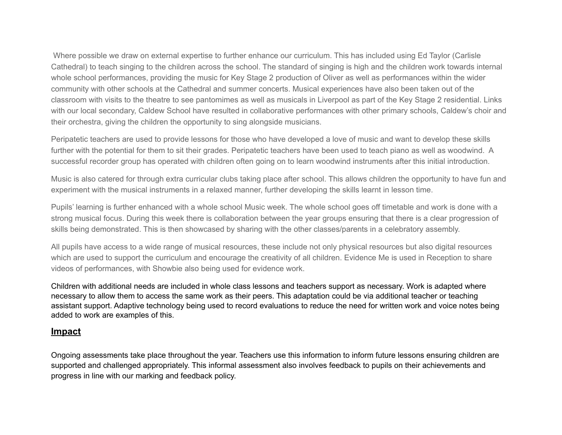Where possible we draw on external expertise to further enhance our curriculum. This has included using Ed Taylor (Carlisle Cathedral) to teach singing to the children across the school. The standard of singing is high and the children work towards internal whole school performances, providing the music for Key Stage 2 production of Oliver as well as performances within the wider community with other schools at the Cathedral and summer concerts. Musical experiences have also been taken out of the classroom with visits to the theatre to see pantomimes as well as musicals in Liverpool as part of the Key Stage 2 residential. Links with our local secondary, Caldew School have resulted in collaborative performances with other primary schools, Caldew's choir and their orchestra, giving the children the opportunity to sing alongside musicians.

Peripatetic teachers are used to provide lessons for those who have developed a love of music and want to develop these skills further with the potential for them to sit their grades. Peripatetic teachers have been used to teach piano as well as woodwind. A successful recorder group has operated with children often going on to learn woodwind instruments after this initial introduction.

Music is also catered for through extra curricular clubs taking place after school. This allows children the opportunity to have fun and experiment with the musical instruments in a relaxed manner, further developing the skills learnt in lesson time.

Pupils' learning is further enhanced with a whole school Music week. The whole school goes off timetable and work is done with a strong musical focus. During this week there is collaboration between the year groups ensuring that there is a clear progression of skills being demonstrated. This is then showcased by sharing with the other classes/parents in a celebratory assembly.

All pupils have access to a wide range of musical resources, these include not only physical resources but also digital resources which are used to support the curriculum and encourage the creativity of all children. Evidence Me is used in Reception to share videos of performances, with Showbie also being used for evidence work.

Children with additional needs are included in whole class lessons and teachers support as necessary. Work is adapted where necessary to allow them to access the same work as their peers. This adaptation could be via additional teacher or teaching assistant support. Adaptive technology being used to record evaluations to reduce the need for written work and voice notes being added to work are examples of this.

#### **Impact**

Ongoing assessments take place throughout the year. Teachers use this information to inform future lessons ensuring children are supported and challenged appropriately. This informal assessment also involves feedback to pupils on their achievements and progress in line with our marking and feedback policy.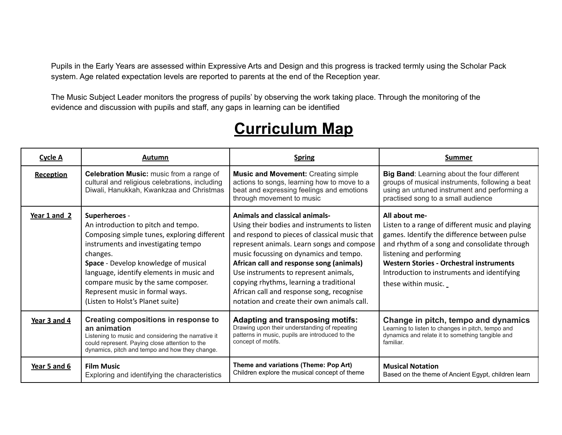Pupils in the Early Years are assessed within Expressive Arts and Design and this progress is tracked termly using the Scholar Pack system. Age related expectation levels are reported to parents at the end of the Reception year.

The Music Subject Leader monitors the progress of pupils' by observing the work taking place. Through the monitoring of the evidence and discussion with pupils and staff, any gaps in learning can be identified

# **Curriculum Map**

| Cycle A          | Autumn                                                                                                                                                                                                                                                                                                                                                   | <b>Spring</b>                                                                                                                                                                                                                                                                                                                                                                                                                                              | <b>Summer</b>                                                                                                                                                                                                                                                                                                   |
|------------------|----------------------------------------------------------------------------------------------------------------------------------------------------------------------------------------------------------------------------------------------------------------------------------------------------------------------------------------------------------|------------------------------------------------------------------------------------------------------------------------------------------------------------------------------------------------------------------------------------------------------------------------------------------------------------------------------------------------------------------------------------------------------------------------------------------------------------|-----------------------------------------------------------------------------------------------------------------------------------------------------------------------------------------------------------------------------------------------------------------------------------------------------------------|
| <b>Reception</b> | Celebration Music: music from a range of<br>cultural and religious celebrations, including<br>Diwali, Hanukkah, Kwankzaa and Christmas                                                                                                                                                                                                                   | <b>Music and Movement: Creating simple</b><br>actions to songs, learning how to move to a<br>beat and expressing feelings and emotions<br>through movement to music                                                                                                                                                                                                                                                                                        | Big Band: Learning about the four different<br>groups of musical instruments, following a beat<br>using an untuned instrument and performing a<br>practised song to a small audience                                                                                                                            |
| Year $1$ and $2$ | Superheroes -<br>An introduction to pitch and tempo.<br>Composing simple tunes, exploring different<br>instruments and investigating tempo<br>changes.<br>Space - Develop knowledge of musical<br>language, identify elements in music and<br>compare music by the same composer.<br>Represent music in formal ways.<br>(Listen to Holst's Planet suite) | <b>Animals and classical animals-</b><br>Using their bodies and instruments to listen<br>and respond to pieces of classical music that<br>represent animals. Learn songs and compose<br>music focussing on dynamics and tempo.<br>African call and response song (animals)<br>Use instruments to represent animals,<br>copying rhythms, learning a traditional<br>African call and response song, recognise<br>notation and create their own animals call. | All about me-<br>Listen to a range of different music and playing<br>games. Identify the difference between pulse<br>and rhythm of a song and consolidate through<br>listening and performing<br>Western Stories - Orchestral instruments<br>Introduction to instruments and identifying<br>these within music. |
| Year 3 and 4     | Creating compositions in response to<br>an animation<br>Listening to music and considering the narrative it<br>could represent. Paying close attention to the<br>dynamics, pitch and tempo and how they change.                                                                                                                                          | <b>Adapting and transposing motifs:</b><br>Drawing upon their understanding of repeating<br>patterns in music, pupils are introduced to the<br>concept of motifs.                                                                                                                                                                                                                                                                                          | Change in pitch, tempo and dynamics<br>Learning to listen to changes in pitch, tempo and<br>dynamics and relate it to something tangible and<br>familiar.                                                                                                                                                       |
| Year 5 and 6     | <b>Film Music</b><br>Exploring and identifying the characteristics                                                                                                                                                                                                                                                                                       | Theme and variations (Theme: Pop Art)<br>Children explore the musical concept of theme                                                                                                                                                                                                                                                                                                                                                                     | <b>Musical Notation</b><br>Based on the theme of Ancient Egypt, children learn                                                                                                                                                                                                                                  |